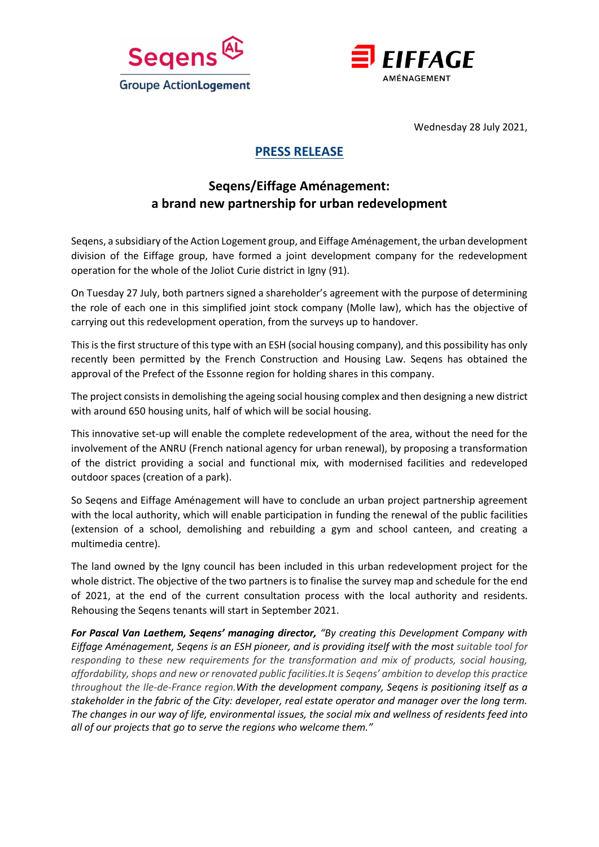



Wednesday 28 July 2021,

## **PRESS RELEASE**

# **Seqens/Eiffage Aménagement: a brand new partnership for urban redevelopment**

Seqens, a subsidiary of the Action Logement group, and Eiffage Aménagement, the urban development division of the Eiffage group, have formed a joint development company for the redevelopment operation for the whole of the Joliot Curie district in Igny (91).

On Tuesday 27 July, both partners signed a shareholder's agreement with the purpose of determining the role of each one in this simplified joint stock company (Molle law), which has the objective of carrying out this redevelopment operation, from the surveys up to handover.

This is the first structure of this type with an ESH (social housing company), and this possibility has only recently been permitted by the French Construction and Housing Law. Seqens has obtained the approval of the Prefect of the Essonne region for holding shares in this company.

The project consists in demolishing the ageing social housing complex and then designing a new district with around 650 housing units, half of which will be social housing.

This innovative set-up will enable the complete redevelopment of the area, without the need for the involvement of the ANRU (French national agency for urban renewal), by proposing a transformation of the district providing a social and functional mix, with modernised facilities and redeveloped outdoor spaces (creation of a park).

So Seqens and Eiffage Aménagement will have to conclude an urban project partnership agreement with the local authority, which will enable participation in funding the renewal of the public facilities (extension of a school, demolishing and rebuilding a gym and school canteen, and creating a multimedia centre).

The land owned by the Igny council has been included in this urban redevelopment project for the whole district. The objective of the two partners is to finalise the survey map and schedule for the end of 2021, at the end of the current consultation process with the local authority and residents. Rehousing the Seqens tenants will start in September 2021.

*For Pascal Van Laethem, Seqens' managing director, "By creating this Development Company with Eiffage Aménagement, Seqens is an ESH pioneer, and is providing itself with the most suitable tool for responding to these new requirements for the transformation and mix of products, social housing, affordability, shops and new or renovated public facilities.It is Seqens' ambition to develop this practice throughout the Ile-de-France region.With the development company, Seqens is positioning itself as a stakeholder in the fabric of the City: developer, real estate operator and manager over the long term. The changes in our way of life, environmental issues, the social mix and wellness of residents feed into all of our projects that go to serve the regions who welcome them."*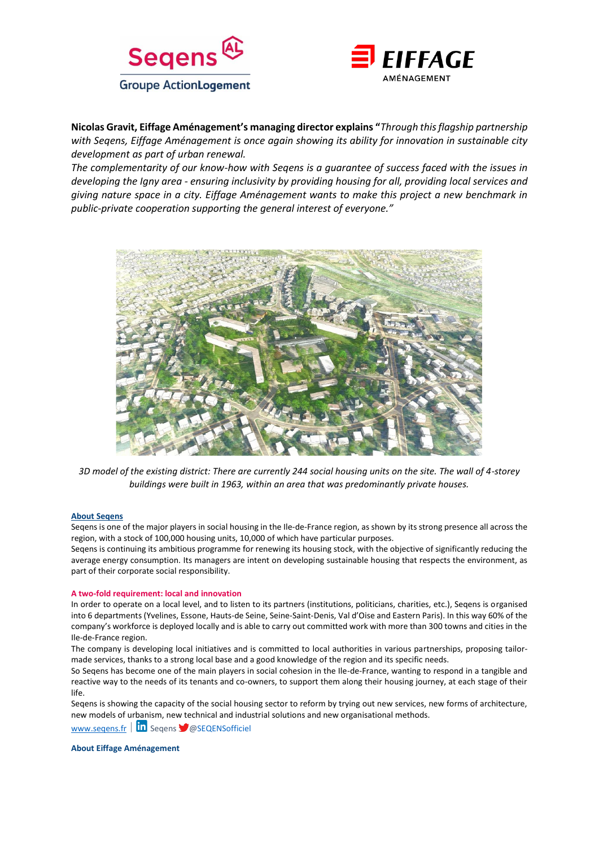



**Nicolas Gravit, Eiffage Aménagement's managing director explains "***Through this flagship partnership with Seqens, Eiffage Aménagement is once again showing its ability for innovation in sustainable city development as part of urban renewal.* 

*The complementarity of our know-how with Seqens is a guarantee of success faced with the issues in developing the Igny area - ensuring inclusivity by providing housing for all, providing local services and giving nature space in a city. Eiffage Aménagement wants to make this project a new benchmark in public-private cooperation supporting the general interest of everyone."*



*3D model of the existing district: There are currently 244 social housing units on the site. The wall of 4-storey buildings were built in 1963, within an area that was predominantly private houses.* 

#### **About Seqens**

Seqens is one of the major players in social housing in the Ile-de-France region, as shown by its strong presence all across the region, with a stock of 100,000 housing units, 10,000 of which have particular purposes.

Seqens is continuing its ambitious programme for renewing its housing stock, with the objective of significantly reducing the average energy consumption. Its managers are intent on developing sustainable housing that respects the environment, as part of their corporate social responsibility.

#### **A two-fold requirement: local and innovation**

In order to operate on a local level, and to listen to its partners (institutions, politicians, charities, etc.), Seqens is organised into 6 departments (Yvelines, Essone, Hauts-de Seine, Seine-Saint-Denis, Val d'Oise and Eastern Paris). In this way 60% of the company's workforce is deployed locally and is able to carry out committed work with more than 300 towns and cities in the Ile-de-France region.

The company is developing local initiatives and is committed to local authorities in various partnerships, proposing tailormade services, thanks to a strong local base and a good knowledge of the region and its specific needs.

So Seqens has become one of the main players in social cohesion in the Ile-de-France, wanting to respond in a tangible and reactive way to the needs of its tenants and co-owners, to support them along their housing journey, at each stage of their life.

Seqens is showing the capacity of the social housing sector to reform by trying out new services, new forms of architecture, new models of urbanism, new technical and industrial solutions and new organisational methods.

www.segens.fr  $\|\mathbf{in} \text{ Segens } \blacktriangleright \text{ @SEQENSoft}$ 

**About Eiffage Aménagement**